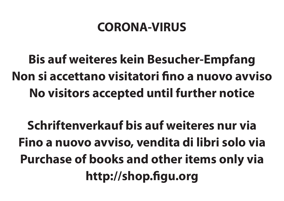## **CORONA-VIRUS**

**Bis auf weiteres kein Besucher-Empfang Non si accettano visitatori fino a nuovo avviso No visitors accepted until further notice**

**Schriftenverkauf bis auf weiteres nur via Fino a nuovo avviso, vendita di libri solo via Purchase of books and other items only via http://shop.figu.org**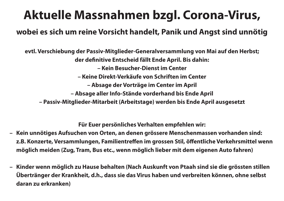## **Aktuelle Massnahmen bzgl. Corona-Virus,**

## **wobei es sich um reine Vorsicht handelt, Panik und Angst sind unnötig**

**evtl. Verschiebung der Passiv-Mitglieder-Generalversammlung von Mai auf den Herbst; der definitive Entscheid fällt Ende April. Bis dahin: – Kein Besucher-Dienst im Center – Keine Direkt-Verkäufe von Schriften im Center – Absage der Vorträge im Center im April – Absage aller Info-Stände vorderhand bis Ende April – Passiv-Mitglieder-Mitarbeit (Arbeitstage) werden bis Ende April ausgesetzt**

**Für Euer persönliches Verhalten empfehlen wir:**

- **– Kein unnötiges Aufsuchen von Orten, an denen grössere Menschenmassen vorhanden sind: z.B. Konzerte, Versammlungen, Familientreffen im grossen Stil, öffentliche Verkehrsmittel wenn möglich meiden (Zug, Tram, Bus etc., wenn möglich lieber mit dem eigenen Auto fahren)**
- **– Kinder wenn möglich zu Hause behalten (Nach Auskunft von Ptaah sind sie die grössten stillen Übertränger der Krankheit, d.h., dass sie das Virus haben und verbreiten können, ohne selbst daran zu erkranken)**